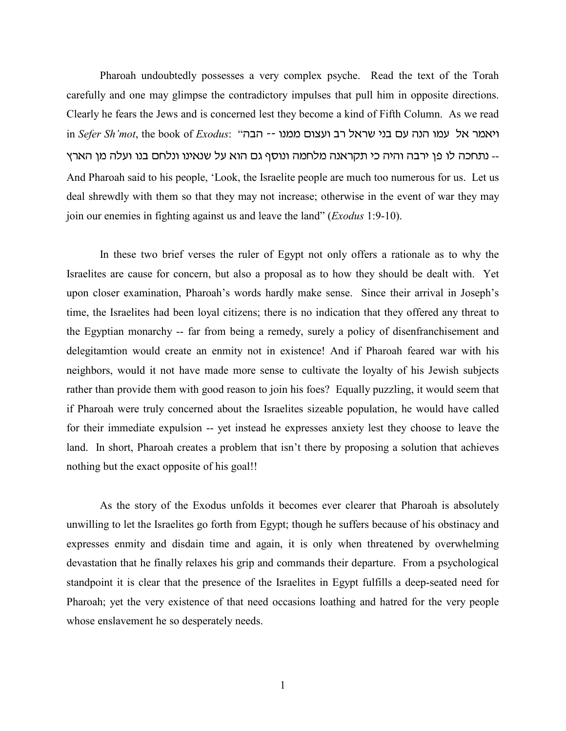Pharoah undoubtedly possesses a very complex psyche. Read the text of the Torah carefully and one may glimpse the contradictory impulses that pull him in opposite directions. Clearly he fears the Jews and is concerned lest they become a kind of Fifth Column. As we read in *Sefer Sh'mot*, the book of *Exodus*: "יאמר אל עמו הנה עם בני שראל רב ועצום ממנו -- הבה .. נתחכה לו פן ירבה והיה כי תקראנה מלחמה ונוסף גם הוא על שנאינו ונלחם בנו ועלה מן הארץ And Pharoah said to his people, 'Look, the Israelite people are much too numerous for us. Let us deal shrewdly with them so that they may not increase; otherwise in the event of war they may join our enemies in fighting against us and leave the land" (*Exodus* 1:9-10).

In these two brief verses the ruler of Egypt not only offers a rationale as to why the Israelites are cause for concern, but also a proposal as to how they should be dealt with. Yet upon closer examination, Pharoah's words hardly make sense. Since their arrival in Joseph's time, the Israelites had been loyal citizens; there is no indication that they offered any threat to the Egyptian monarchy -- far from being a remedy, surely a policy of disenfranchisement and delegitamtion would create an enmity not in existence! And if Pharoah feared war with his neighbors, would it not have made more sense to cultivate the loyalty of his Jewish subjects rather than provide them with good reason to join his foes? Equally puzzling, it would seem that if Pharoah were truly concerned about the Israelites sizeable population, he would have called for their immediate expulsion -- yet instead he expresses anxiety lest they choose to leave the land. In short, Pharoah creates a problem that isn't there by proposing a solution that achieves nothing but the exact opposite of his goal!!

As the story of the Exodus unfolds it becomes ever clearer that Pharoah is absolutely unwilling to let the Israelites go forth from Egypt; though he suffers because of his obstinacy and expresses enmity and disdain time and again, it is only when threatened by overwhelming devastation that he finally relaxes his grip and commands their departure. From a psychological standpoint it is clear that the presence of the Israelites in Egypt fulfills a deep-seated need for Pharoah; yet the very existence of that need occasions loathing and hatred for the very people whose enslavement he so desperately needs.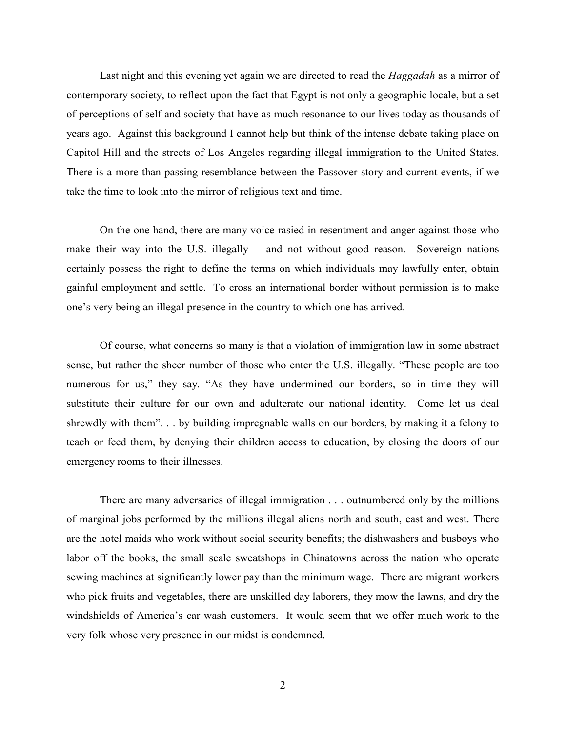Last night and this evening yet again we are directed to read the *Haggadah* as a mirror of contemporary society, to reflect upon the fact that Egypt is not only a geographic locale, but a set of perceptions of self and society that have as much resonance to our lives today as thousands of years ago. Against this background I cannot help but think of the intense debate taking place on Capitol Hill and the streets of Los Angeles regarding illegal immigration to the United States. There is a more than passing resemblance between the Passover story and current events, if we take the time to look into the mirror of religious text and time.

On the one hand, there are many voice rasied in resentment and anger against those who make their way into the U.S. illegally -- and not without good reason. Sovereign nations certainly possess the right to define the terms on which individuals may lawfully enter, obtain gainful employment and settle. To cross an international border without permission is to make one's very being an illegal presence in the country to which one has arrived.

Of course, what concerns so many is that a violation of immigration law in some abstract sense, but rather the sheer number of those who enter the U.S. illegally. "These people are too numerous for us," they say. "As they have undermined our borders, so in time they will substitute their culture for our own and adulterate our national identity. Come let us deal shrewdly with them". . . by building impregnable walls on our borders, by making it a felony to teach or feed them, by denying their children access to education, by closing the doors of our emergency rooms to their illnesses.

There are many adversaries of illegal immigration . . . outnumbered only by the millions of marginal jobs performed by the millions illegal aliens north and south, east and west. There are the hotel maids who work without social security benefits; the dishwashers and busboys who labor off the books, the small scale sweatshops in Chinatowns across the nation who operate sewing machines at significantly lower pay than the minimum wage. There are migrant workers who pick fruits and vegetables, there are unskilled day laborers, they mow the lawns, and dry the windshields of America's car wash customers. It would seem that we offer much work to the very folk whose very presence in our midst is condemned.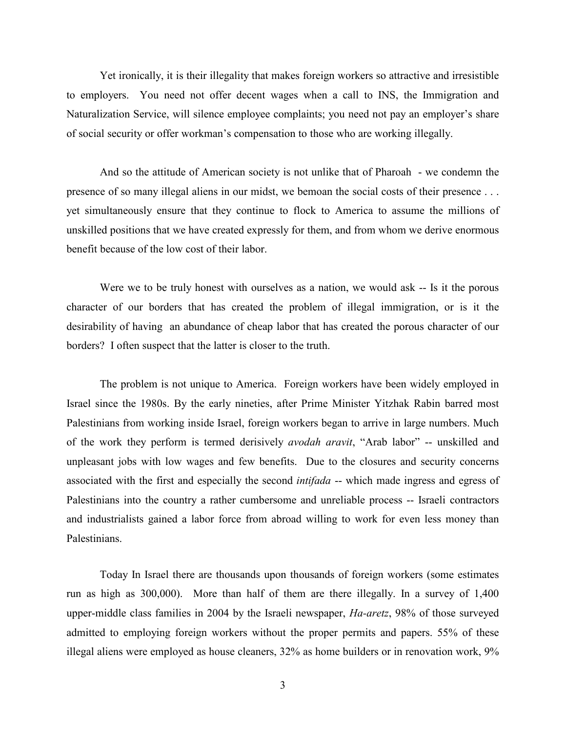Yet ironically, it is their illegality that makes foreign workers so attractive and irresistible to employers. You need not offer decent wages when a call to INS, the Immigration and Naturalization Service, will silence employee complaints; you need not pay an employer's share of social security or offer workman's compensation to those who are working illegally.

And so the attitude of American society is not unlike that of Pharoah - we condemn the presence of so many illegal aliens in our midst, we bemoan the social costs of their presence . . . yet simultaneously ensure that they continue to flock to America to assume the millions of unskilled positions that we have created expressly for them, and from whom we derive enormous benefit because of the low cost of their labor.

Were we to be truly honest with ourselves as a nation, we would ask -- Is it the porous character of our borders that has created the problem of illegal immigration, or is it the desirability of having an abundance of cheap labor that has created the porous character of our borders? I often suspect that the latter is closer to the truth.

The problem is not unique to America. Foreign workers have been widely employed in Israel since the 1980s. By the early nineties, after Prime Minister Yitzhak Rabin barred most Palestinians from working inside Israel, foreign workers began to arrive in large numbers. Much of the work they perform is termed derisively *avodah aravit*, "Arab labor" -- unskilled and unpleasant jobs with low wages and few benefits. Due to the closures and security concerns associated with the first and especially the second *intifada* -- which made ingress and egress of Palestinians into the country a rather cumbersome and unreliable process -- Israeli contractors and industrialists gained a labor force from abroad willing to work for even less money than Palestinians.

Today In Israel there are thousands upon thousands of foreign workers (some estimates run as high as 300,000). More than half of them are there illegally. In a survey of 1,400 upper-middle class families in 2004 by the Israeli newspaper, *Ha-aretz*, 98% of those surveyed admitted to employing foreign workers without the proper permits and papers. 55% of these illegal aliens were employed as house cleaners, 32% as home builders or in renovation work, 9%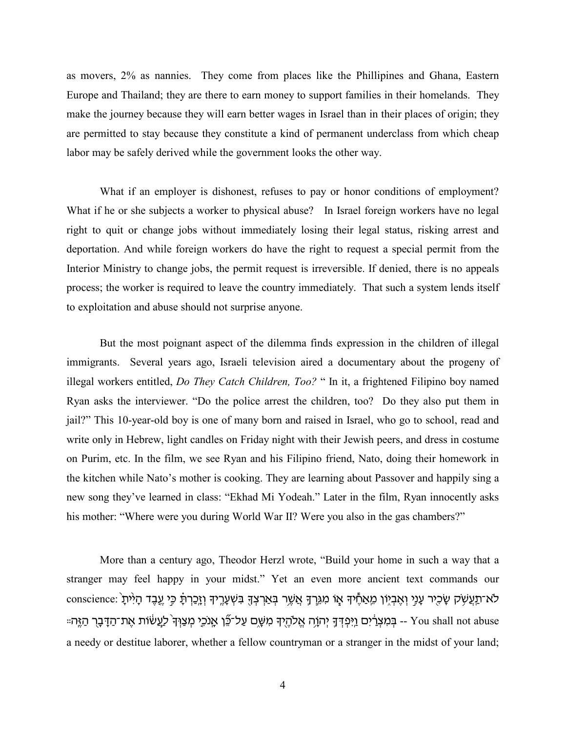as movers, 2% as nannies. They come from places like the Phillipines and Ghana, Eastern Europe and Thailand; they are there to earn money to support families in their homelands. They make the journey because they will earn better wages in Israel than in their places of origin; they are permitted to stay because they constitute a kind of permanent underclass from which cheap labor may be safely derived while the government looks the other way.

What if an employer is dishonest, refuses to pay or honor conditions of employment? What if he or she subjects a worker to physical abuse? In Israel foreign workers have no legal right to quit or change jobs without immediately losing their legal status, risking arrest and deportation. And while foreign workers do have the right to request a special permit from the Interior Ministry to change jobs, the permit request is irreversible. If denied, there is no appeals process; the worker is required to leave the country immediately. That such a system lends itself to exploitation and abuse should not surprise anyone.

But the most poignant aspect of the dilemma finds expression in the children of illegal immigrants. Several years ago, Israeli television aired a documentary about the progeny of illegal workers entitled, *Do They Catch Children, Too?* " In it, a frightened Filipino boy named Ryan asks the interviewer. "Do the police arrest the children, too? Do they also put them in jail?" This 10-year-old boy is one of many born and raised in Israel, who go to school, read and write only in Hebrew, light candles on Friday night with their Jewish peers, and dress in costume on Purim, etc. In the film, we see Ryan and his Filipino friend, Nato, doing their homework in the kitchen while Nato's mother is cooking. They are learning about Passover and happily sing a new song they've learned in class: "Ekhad Mi Yodeah." Later in the film, Ryan innocently asks his mother: "Where were you during World War II? Were you also in the gas chambers?"

More than a century ago, Theodor Herzl wrote, "Build your home in such a way that a stranger may feel happy in your midst." Yet an even more ancient text commands our לא־תַעֲשָׂק שָׂכִיִר עָנִי וְאֶבְיָוֹן מֵאַחֶיךָּ אָוֹ מִגְרָךָּ אֲשֶׁר בְּאַרְצְךָּ בִּשְׁעָרֶיךָּ וְזֶכֲרְתָֿ כִּי עֱבֶד הָיִיתָ :עַמֹּכֶּי מִצְוָּךָ לְעֲשׂוֹת אֱת־הַדֶּבָּךְ הַזֶּהָ׃ · You shall not abuse -- בִּמְצְרָ֫יִם וַיִּפְּדָּ הַזֶּה a needy or destitue laborer, whether a fellow countryman or a stranger in the midst of your land;